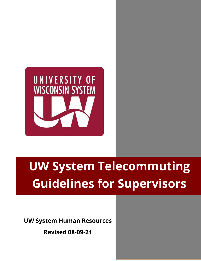

# **UW System Telecommuting Guidelines for Supervisors**

**UW System Human Resources**

**Revised 08-09-21**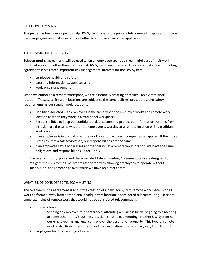# EXECUTIVE SUMMARY

This guide has been developed to help UW System supervisors process telecommuting applications from their employees and make decisions whether to approve a particular application.

# TELECOMMUTING GENERALLY

Telecommuting agreements will be used when an employee spends a meaningful part of their work month at a location other than their normal UW System headquarters. The creation of a telecommuting agreement serves three important risk management interests for the UW System:

- employee health and safety
- data and information system security
- workforce management

When we authorize a remote workspace, we are essentially creating a satellite UW System work location. These satellite work locations are subject to the same policies, procedures, and safety requirements as our regular work locations.

- Liability associated with employees is the same when the employee works at a remote work location as when they work in a traditional workplace.
- Responsibilities to keep our confidential data secure and protect our information systems from intrusion are the same whether the employee is working at a remote location or in a traditional workplace.
- If an employee is injured at a remote work location, worker's compensation applies. If the injury is the result of a safety violation, our responsibilities are the same.
- If an employee sexually harasses another person at a remote work location, we have the same obligations and responsibilities under Title VII.

The telecommuting policy and the associated Telecommuting Agreement form are designed to mitigate the risks to the UW System associated with allowing employees to operate without supervision, at a remote site over which we have no direct control.

# WHAT IS NOT CONSIDERED TELECOMMUTING

The telecommuting agreement is about the creation of a new UW System remote workspace. Not all work performed away from a traditional headquarters location is considered telecommuting. Here are some examples of remote work that would not be considered telecommuting:

- Business travel
	- $\circ$  Sending an employee to a conference, attending a business lunch, or going to a meeting at some other entity's business location is not telecommuting. Neither UW System nor our employee has any legal control over the destination property. This type of remote work is also likely intermittent, and the destination locations likely vary from trip to trip.
- Employees holding meetings off-site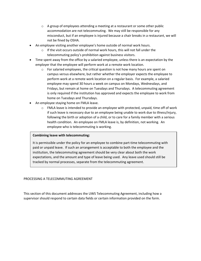- $\circ$  A group of employees attending a meeting at a restaurant or some other public accommodation are not telecommuting. We may still be responsible for any misconduct, but if an employee is injured because a chair breaks in a restaurant, we will not be fined by OSHA.
- An employee visiting another employee's home outside of normal work hours.
	- $\circ$  If the visit occurs outside of normal work hours, this will not fall under the telecommuting policy's prohibition against business visitors.
- Time spent away from the office by a salaried employee, unless there is an expectation by the employer that the employee will perform work at a remote work location.
	- $\circ$  For salaried employees, the critical question is not how many hours are spent on campus versus elsewhere, but rather whether the employer expects the employee to perform work at a remote work location on a regular basis. For example, a salaried employee may spend 30 hours a week on campus on Mondays, Wednesdays, and Fridays, but remain at home on Tuesdays and Thursdays. A telecommuting agreement is only required if the institution has approved and expects the employee to work from home on Tuesdays and Thursdays.
- An employee staying home on FMLA leave.
	- $\circ$  FMLA leave is intended to provide an employee with protected, unpaid, time off of work if such leave is necessary due to an employee being unable to work due to illness/injury, following the birth or adoption of a child, or to care for a family member with a serious health condition. An employee on FMLA leave is, by definition, not working. An employee who is telecommuting is working.

# **Combining leave with telecommuting:**

It is permissible under the policy for an employee to combine part-time telecommuting with paid or unpaid leave. If such an arrangement is acceptable to both the employee and the institution, the telecommuting agreement should be very clear about both the work expectations, and the amount and type of leave being used. Any leave used should still be tracked by normal processes, separate from the telecommuting agreement.

# PROCESSING A TELECOMMUTING AGREEMENT

This section of this document addresses the UWS Telecommuting Agreement, including how a supervisor should respond to certain data fields or certain information provided on the form.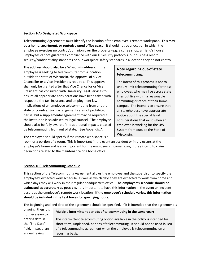# **Section 1(A) Designated Workspace**

Telecommuting Agreements must identify the location of the employee's remote workspace. **This may be a home, apartment, or rented/owned office space.** It should not be a location in which the employee exercises no control/dominion over the property (e.g. a coffee shop, a friend's house). Employees cannot guarantee compliance with our IT Security protocols, our business record security/confidentiality standards or our workplace safety standards in a location they do not control.

**The address should also be a Wisconsin address**. If the employee is seeking to telecommute from a location outside the state of Wisconsin, the approval of a Vice-Chancellor or a Vice-President is required. This approval shall only be granted after that Vice Chancellor or Vice President has consulted with University Legal Services to ensure all appropriate considerations have been taken with respect to the tax, insurance and employment law implications of an employee telecommuting from another state or country. Such arrangements are not prohibited, per se, but a supplemental agreement may be required if the institution is so advised by legal counsel. The employee should also be fully aware of the additional impacts created by telecommuting from out of state. (See Appendix A.)

# **Note regarding out-of-state telecommuting:**

The intent of this process is not to unduly limit telecommuting for those employees who may live across state lines but live within a reasonable commuting distance of their home campus. The intent is to ensure that all stakeholders have appropriate notice about the special legal considerations that exist when an employee is working for the UW System from outside the State of Wisconsin.

The employee should specify if the remote workspace is a

room or a portion of a room. This is important in the event an accident or injury occurs at the employee's home and is also important for the employee's income taxes, if they intend to claim deductions related to the maintenance of a home office.

# **Section 1(B) Telecommuting Schedule**

This section of the Telecommuting Agreement allows the employee and the supervisor to specify the employee's expected work schedule, as well as which days they are expected to work from home and which days they will work in their regular headquarters office. **The employee's schedule should be estimated as accurately as possible.** It is important to have this information in the event an incident occurs at the employee's remote work location. **If the employee's schedule varies, this information should be included in the text boxes for specifying hours.**

The beginning and end date of the agreement should be specified. If it is intended that the agreement is

ongoing, then it is not necessary to enter a date in the "End Date" field. Instead, an annual review

# **Multiple intermittent periods of telecommuting in the same year:**

The intermittent telecommuting option available in the policy is intended for short-term, unplanned, periods of telecommuting. It should not be used in lieu of a telecommuting agreement when the employee is telecommuting on a recurring basis.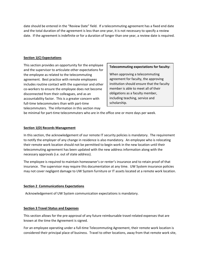date should be entered in the "Review Date" field. If a telecommuting agreement has a fixed end date and the total duration of the agreement is less than one year, it is not necessary to specify a review date. If the agreement is indefinite or for a duration of longer than one year, a review date is required.

# **Section 1(C) Expectations**

This section provides an opportunity for the employee and the supervisor to articulate other expectations for the employee as related to the telecommuting agreement. Best practice with remote employees includes routine contact with the supervisor and other co-workers to ensure the employee does not become disconnected from their colleagues, and as an accountability factor. This is a greater concern with full-time telecommuters than with part-time telecommuters. The information in this section may

# **Telecommuting expectations for faculty:**

When approving a telecommuting agreement for faculty, the approving institution should ensure that the faculty member is able to meet all of their obligations as a faculty member, including teaching, service and scholarship.

be minimal for part-time telecommuters who are in the office one or more days per week.

#### **Section 1(D) Records Management**

In this section, the acknowledgement of our remote IT security policies is mandatory. The requirement to notify the employer of any change in residence is also mandatory. An employee who is relocating their remote work location should not be permitted to begin work in the new location until their telecommuting agreement has been updated with the new address information along with the necessary approvals (i.e. out of state address).

The employee is required to maintain homeowner's or renter's insurance and to retain proof of that insurance. The supervisor may require this documentation at any time. UW System insurance policies may not cover negligent damage to UW System furniture or IT assets located at a remote work location.

#### **Section 2 Communications Expectations**

Acknowledgement of UW System communication expectations is mandatory.

# **Section 3 Travel Status and Expenses**

This section allows for the pre-approval of any future reimbursable travel-related expenses that are known at the time the Agreement is signed.

For an employee operating under a full-time Telecommuting Agreement, their remote work location is considered their principal place of business. Travel to other locations, away from that remote work site,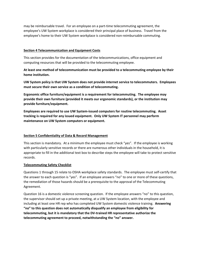may be reimbursable travel. For an employee on a part-time telecommuting agreement, the employee's UW System workplace is considered their principal place of business. Travel from the employee's home to their UW System workplace is considered non-reimbursable commuting.

# **Section 4 Telecommunication and Equipment Costs**

This section provides for the documentation of the telecommunications, office equipment and computing resources that will be provided to the telecommuting employee.

**At least one method of telecommunication must be provided to a telecommuting employee by their home institution.** 

**UW System policy is that UW System does not provide internet service to telecommuters. Employees must secure their own service as a condition of telecommuting.**

**Ergonomic office furniture/equipment is a requirement for telecommuting. The employee may provide their own furniture (provided it meets our ergonomic standards), or the institution may provide furniture/equipment.**

**Employees are required to use UW System-issued computers for routine telecommuting. Asset tracking is required for any issued equipment. Only UW System IT personnel may perform maintenance on UW System computers or equipment.**

# **Section 5 Confidentiality of Data & Record Management**

This section is mandatory. At a minimum the employee must check "yes". If the employee is working with particularly sensitive records or there are numerous other individuals in the household, it is appropriate to fill in the additional text box to describe steps the employee will take to protect sensitive records.

# **Telecommuting Safety Checklist**

Questions 1 through 15 relate to OSHA workplace safety standards. The employee must self-certify that the answer to each question is "yes". If an employee answers "no" to one or more of these questions, the remediation of those hazards should be a prerequisite to the approval of the Telecommuting Agreement.

Question 16 is a domestic violence screening question. If the employee answers "no" to this question, the supervisor should set up a private meeting, at a UW System location, with the employee and including at least one HR rep who has completed UW System domestic violence training. **Answering "no" to this question does not automatically disqualify an employee from eligibility for telecommuting, but it is mandatory that the DV-trained HR representative authorize the telecommuting agreement to proceed, notwithstanding the "no" answer.**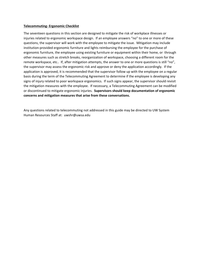#### **Telecommuting- Ergonomic Checklist**

The seventeen questions in this section are designed to mitigate the risk of workplace illnesses or injuries related to ergonomic workspace design. If an employee answers "no" to one or more of these questions, the supervisor will work with the employee to mitigate the issue. Mitigation may include institution-provided ergonomic furniture and lights reimbursing the employee for the purchase of ergonomic furniture, the employee using existing furniture or equipment within their home, or through other measures such as stretch breaks, reorganization of workspace, choosing a different room for the remote workspace, etc.. If, after mitigation attempts, the answer to one or more questions is still "no", the supervisor may assess the ergonomic risk and approve or deny the application accordingly. If the application is approved, it is recommended that the supervisor follow up with the employee on a regular basis during the term of the Telecommuting Agreement to determine if the employee is developing any signs of injury related to poor workspace ergonomics. If such signs appear, the supervisor should revisit the mitigation measures with the employee. If necessary, a Telecommuting Agreement can be modified or discontinued to mitigate ergonomic injuries. **Supervisors should keep documentation of ergonomic concerns and mitigation measures that arise from these conversations.**

Any questions related to telecommuting not addressed in this guide may be directed to UW System Human Resources Staff at: uwshr@uwsa.edu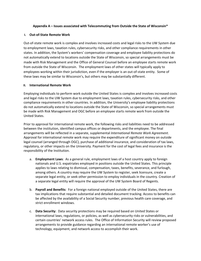# **Appendix A – Issues associated with Telecommuting from Outside the State of Wisconsin\***

# **I. Out-of-State Remote Work**

Out-of-state remote work is complex and involves increased costs and legal risks to the UW System due to employment laws, taxation rules, cybersecurity risks, and other compliance requirements in other states. In addition, the System's workers' compensation coverage and employee liability protections do not automatically extend to locations outside the State of Wisconsin, so special arrangements must be made with Risk Management and the Office of General Counsel before an employee starts remote work from outside the State of Wisconsin. The employment laws of other states will typically apply to employees working within their jurisdiction, even if the employer is an out-of-state entity. Some of these laws may be similar to Wisconsin's, but others may be substantially different.

# **II. International Remote Work**

Employing individuals to perform work outside the United States is complex and involves increased costs and legal risks to the UW System due to employment laws, taxation rules, cybersecurity risks, and other compliance requirements in other countries. In addition, the University's employee liability protections do not automatically extend to locations outside the State of Wisconsin, so special arrangements must be made with Risk Management and OGC before an employee starts remote work from outside the United States.

Prior to approval for international remote work, the following risks and liabilities need to be addressed between the institution, identified campus offices or departments, and the employee. The final arrangements will be reflected in a separate, supplemental *International Remote Work Agreement*. Approval for international remote work may require the expenditure of significant money on outside legal counsel (arranged through OGC), purchase of additional insurance, and consideration of tax laws, regulatory, or other impacts on the University. Payment for the cost of legal fees and insurance is the responsibility of the Institution.

- a. **Employment Laws**: As a general rule, employment laws of a host country apply to foreign nationals and U.S. expatriates employed in positions outside the United States. This principle applies to laws relating to dismissal, compensation, taxes, benefits, severance, and furlough, among others. A country may require the UW System to register, seek licensure, create a separate legal entity, or seek other permission to employ individuals in the country. Creation of a separate legal entity will require the approval of the UW System Board of Regents.
- b. **Payroll and Benefits**: For a foreign national employed outside of the United States, there are tax implications that require substantial and detailed document tracking. Access to benefits can be affected by the availability of a Social Security number, previous health care coverage, and strict enrollment windows.
- c. **Data Security**: Data security protections may be required based on United States or international laws, regulations, or policies, as well as cybersecurity risks or vulnerabilities, and certain countries' network access rules. The Office of Information Security will review proposed arrangements to provide guidance regarding an international remote worker's use of technology, equipment, and network access to accomplish their work.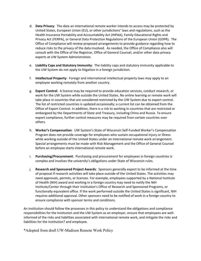- d. **Data Privacy**: The data an international remote worker intends to access may be protected by United States, European Union (EU), or other jurisdictions' laws and regulations, such as the Health Insurance Portability and Accountability Act (HIPAA), Family Educational Rights and Privacy Act (FERPA), or General Data Protection Regulations of the European Union (GDPR). The Office of Compliance will review proposed arrangements to provide guidance regarding how to reduce risks to the privacy of the data involved. As needed, the Office of Compliance also will consult with the Office of the Registrar, Office of General Counsel, and/or other data privacy experts at UW System Administration.
- e. **Liability Caps and Statutory Immunity**: The liability caps and statutory immunity applicable to the UW System do not apply to litigation in a foreign jurisdiction.
- f. **Intellectual Property**: Foreign and international intellectual property laws may apply to an employee working remotely from another country.
- g. **Export Control**: A license may be required to provide education services, conduct research, or work for the UW System while outside the United States. No online learning or remote work will take place in countries that are considered restricted by the UW System due to export control. The list of restricted countries is updated occasionally; a current list can be obtained from the Office of Export Control. In addition, there is a risk to working in countries that are restricted or embargoed by the Departments of State and Treasury, including China and Russia. To ensure export compliance, further control measures may be required from certain countries over others.
- h. **Worker's Compensation**: UW System's State of Wisconsin Self-Funded Worker's Compensation Program does not provide coverage for employees who sustain occupational injury or illness while working outside of the United States under an international remote work arrangement. Special arrangements must be made with Risk Management and the Office of General Counsel before an employee starts international remote work.
- i. **Purchasing/Procurement**: Purchasing and procurement for employees in foreign countries is complex and involves the university's obligations under State of Wisconsin rules.
- j. **Research and Sponsored Project Awards**: Sponsors generally expect to be informed at the time of proposal if research activities will take place outside of the United States. The activities may need approvals, permits, or licenses. For example, employees supported by a National Institute of Health (NIH) award and working in a foreign country may need to notify the NIH Institute/Center through their institution's Office of Research and Sponsored Programs, or functionally equivalent office. If the work performed outside the United States is significant, NIH requires additional approval. Other sponsors need to be notified of work in a foreign country to ensure compliance with sponsor terms and conditions.

An Institution should follow the processes in this policy to understand the obligations and compliance responsibilities for the Institution and the UW System as an employer, ensure that employees are wellinformed of the risks and liabilities associated with international remote work, and mitigate the risks and liabilities for the institution? and employee.

\*Adopted from draft UW-Madison Remote Work Policy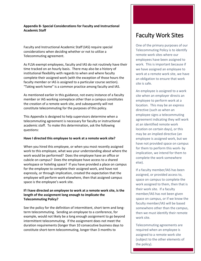# **Appendix B- Special Considerations for Faculty and Instructional Academic Staff**

Faculty and Instructional Academic Staff (IAS) require special considerations when deciding whether or not to utilize a Telecommuting agreement.

As FLSA exempt employees, faculty and IAS do not routinely have their time tracked on an hourly basis. There may also be a history of institutional flexibility with regards to when and where faculty complete their assigned work (with the exception of those hours the faculty member or IAS is assigned to a particular course section). "Taking work home" is a common practice among faculty and IAS.

As mentioned earlier in this guidance, not every instance of a faculty member or IAS working someplace other than a campus constitutes the creation of a remote work site, and subsequently will not constitute telecommuting for the purposes of this policy.

This Appendix is designed to help supervisors determine when a telecommuting agreement is necessary for faculty or instructional academic staff. To make this determination, ask the following questions:

# **Have I directed this employee to work at a remote work site?**

When you hired this employee, or when you most recently assigned work to this employee, what was your understanding about where the work would be performed? Does the employee have an office or cubicle on campus? Does the employee have access to a shared workspace or hoteling space? If you have provided a place on campus for the employee to complete their assigned work, and have not expressly, or through implication, created the expectation that the employee will perform work elsewhere, then that assigned campus space is the employee's work site.

# **If I have directed an employee to work at a remote work site, is the length of the assignment long enough to implicate the Telecommuting Policy?**

See the policy for the definition of intermittent, short term and longterm telecommuting. Sending an employee to a conference, for example, would not likely be a long enough assignment to go beyond intermittent telecommuting. If the assignment does not meet the duration requirements (longer than 10 consecutive business days to constitute short-term telecommuting, longer than 3 months to

# Faculty Work Sites

One of the primary purposes of our Telecommuting Policy is to identify remote work sites where our employees have been assigned to work. This is important because if we have assigned an employee to work at a remote work site, we have an obligation to ensure that work site is safe.

An employee is assigned to a work site when an employer directs an employee to perform work at a location. This may be an express directive (such as when an employee signs a telecommuting agreement indicating they will work at an identified remote work location on certain days), or this may be an implied directive (an employee is assigned work, but we have not provided space on campus for them to perform this work- by implication, we intend for them to complete the work somewhere else).

If a faculty member/IAS has been assigned, or provided access to, space on campus to complete the work assigned to them, then that is their work site. If a faculty member/IAS has not been given space on campus, or if we know the faculty member/IAS will be based somewhere other than the campus, then we must identify their remote work site.

Telecommuting agreements are required when an employee is assigned to a remote work site (subject to the other elements of the policy).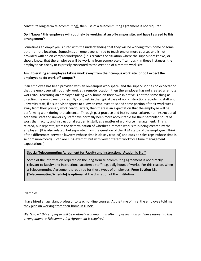constitute long-term telecommuting), then use of a telecommuting agreement is not required.

# **Do I \*know\* this employee will routinely be working at an off-campus site, and have I agreed to this arrangement?**

Sometimes an employee is hired with the understanding that they will be working from home or some other remote location. Sometimes an employee is hired to teach one or more courses and is not provided with an on-campus workspace. (This creates the situation where the supervisors knows, or should know, that the employee will be working from someplace off campus.) In these instances, the employer has tacitly or expressly consented to the creation of a remote work site.

# **Am I tolerating an employee taking work away from their campus work site, or do I expect the employee to do work off-campus?**

If an employee has been provided with an on-campus workspace, and the supervisor has no expectation that the employee will routinely work at a remote location, then the employer has not created a remote work site. Tolerating an employee taking work home on their own initiative is not the same thing as directing the employee to do so. By contrast, in the typical case of non-instructional academic staff and university staff, if a supervisor agrees to allow an employee to spend some portion of their work week away from their primary work headquarters, then there is an expectation that the employee will be performing work during that absence. Through past practice and institutional culture, non-instructional academic staff and university staff have normally been more accountable for their particular hours of work than faculty and instructional academic staff, as a matter of workforce management. This is related, but separate, from the determination of whether a remote work site is being created by the employer. [It is also related, but separate, from the question of the FLSA status of the employee. Think of the differences between lawyers (whose time is closely tracked) and outside sales reps (whose time is seldom monitored). Both are FLSA exempt, but with very different workforce time management expectations.]

# **Special Telecommuting Agreement for Faculty and Instructional Academic Staff**

Some of the information required on the long form telecommuting agreement is not directly relevant to faculty and instructional academic staff (e.g. daily hours of work). For this reason, when a Telecommuting Agreement is required for these types of employees, **Form Section I.B. (Telecommuting Schedule) is optional** at the discretion of the institution.

Examples:

I have hired an assistant professor to teach on-line courses. At the time of hire, the employee told me they plan on working from their home in Illinois.

*We \*know\* this employee will be routinely working at an off-campus location and have agreed to this arrangement- a Telecommuting Agreement is required.*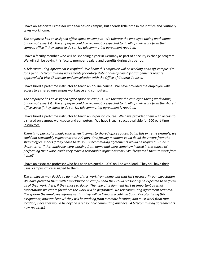I have an Associate Professor who teaches on campus, but spends little time in their office and routinely takes work home.

*The employee has an assigned office space on campus. We tolerate the employee taking work home, but do not expect it. The employee could be reasonably expected to do all of their work from their campus office if they chose to do so. No telecommuting agreement required.*

I have a faculty member who will be spending a year in Germany as part of a faculty exchange program. We will still be paying this faculty member's salary and benefits during this period.

*A Telecommuting Agreement is required. We know this employee will be working at an off-campus site for 1 year. Telecommuting Agreements for out-of-state or out-of-country arrangements require approval of a Vice Chancellor and consultation with the Office of General Counsel.* 

I have hired a part-time instructor to teach an on-line course. We have provided the employee with access to a shared on-campus workspace and computers.

*The employee has an assigned office space on campus. We tolerate the employee taking work home, but do not expect it. The employee could be reasonably expected to do all of their work from the shared office space if they chose to do so. No telecommuting agreement is required.*

I have hired a part-time instructor to teach an in-person course. We have provided them with access to a shared on-campus workspace and computers. We have 3 such spaces available for 200 part-time instructors.

*There is no particular magic ratio when it comes to shared office spaces, but in this extreme example, we could not reasonably expect that the 200 part-time faculty members could do all their work from the shared office spaces if they chose to do so. Telecommuting agreements would be required. Think in these terms- if this employee were working from home and were somehow injured in the course of performing their work, could they make a reasonable argument that UWS \*required\* them to work from home?*

I have an associate professor who has been assigned a 100% on-line workload. They still have their usual campus office assigned to them.

*The employee may decide to do much of this work from home, but that isn't necessarily our expectation. We have provided them with a workspace on campus and they could reasonably be expected to perform all of their work there, if they chose to do so. The type of assignment isn't as important as what expectations we create for where the work will be performed. No telecommuting agreement required. (Exception- the employee informs us that they will be living in a cabin in South Dakota during this assignment, now we \*know\* they will be working from a remote location, and must work from that location, since that would be beyond a reasonable commuting distance. A telecommuting agreement Is now required.)*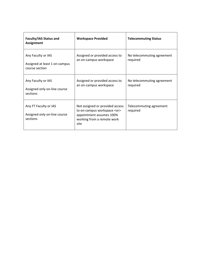| <b>Faculty/IAS Status and</b><br><b>Assignment</b>                    | <b>Workspace Provided</b>                                                                                                                | <b>Telecommuting Status</b>            |
|-----------------------------------------------------------------------|------------------------------------------------------------------------------------------------------------------------------------------|----------------------------------------|
| Any Faculty or IAS<br>Assigned at least 1 on-campus<br>course section | Assigned or provided access to<br>an on-campus workspace                                                                                 | No telecommuting agreement<br>required |
| Any Faculty or IAS<br>Assigned only on-line course<br>sections        | Assigned or provided access to<br>an on-campus workspace                                                                                 | No telecommuting agreement<br>required |
| Any FT Faculty or IAS<br>Assigned only on-line course<br>sections     | Not assigned or provided access<br>to on-campus workspace <or><br/>appointment assumes 100%<br/>working from a remote work<br/>site</or> | Telecommuting agreement<br>required    |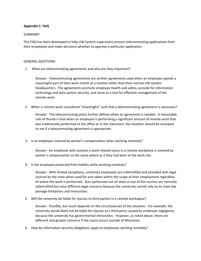# **Appendix C- FAQ**

# SUMMARY

This FAQ has been developed to help UW System supervisors process telecommuting applications from their employees and make decisions whether to approve a particular application.

#### GENERAL QUESTIONS

1. What are telecommuting agreements and why are they important?

Answer: Telecommuting agreements are written agreements used when an employee spends a meaningful part of their work month at a location other than their normal UW System headquarters. The agreements promote employee health and safety, provide for information technology and data system security, and serve as a tool for effective management of the remote work.

2. When is remote work considered "meaningful" such that a telecommuting agreement is necessary?

Answer: The telecommuting policy further defines when an agreement is needed. A reasonable rule of thumb is that when an employee is performing a significant amount of remote work that was traditionally performed at the office or in the classroom, the situation should be reviewed to see if a telecommuting agreement is appropriate.

3. Is an employee covered by worker's compensation when working remotely?

Answer: An employee who sustains a work-related injury in a remote workplace is covered by worker's compensation to the same extent as if they had been at the work site.

4. Is the employee protected from liability while working remotely?

Answer: With limited exceptions, university employees are indemnified and provided with legal counsel by the state when sued for acts taken within the scope of their employment regardless of where the work is performed. Acts performed out-of-state or out of the country are normally indemnified but raise different legal concerns because the university cannot rely on its state law damage limitations and immunities.

5. Will the university be liable for injuries to third parties in a remote workspace?

Answer: Possibly, but much depends on the circumstances of the situation. For example, the university would likely not be liable for injuries to a third party caused by employee negligence, because the university has governmental immunities. However, as noted above, there are different and greater concerns if the injury occurs outside of Wisconsin.

6. How do information security obligations apply to employees working remotely?